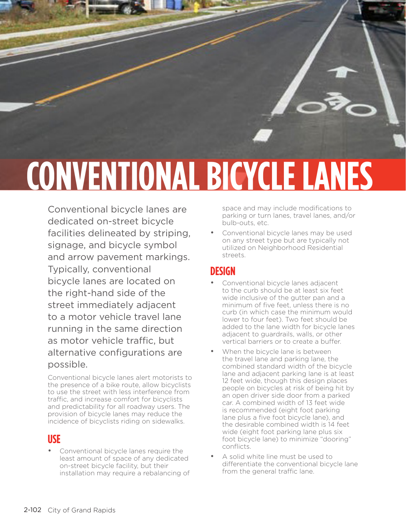

Conventional bicycle lanes are dedicated on-street bicycle facilities delineated by striping, signage, and bicycle symbol and arrow pavement markings. Typically, conventional bicycle lanes are located on the right-hand side of the street immediately adjacent to a motor vehicle travel lane running in the same direction as motor vehicle traffic, but alternative configurations are possible.

Conventional bicycle lanes alert motorists to the presence of a bike route, allow bicyclists to use the street with less interference from traffic, and increase comfort for bicyclists and predictability for all roadway users. The provision of bicycle lanes may reduce the incidence of bicyclists riding on sidewalks.

#### **USE**

• Conventional bicycle lanes require the least amount of space of any dedicated on-street bicycle facility, but their installation may require a rebalancing of space and may include modifications to parking or turn lanes, travel lanes, and/or bulb-outs, etc.

Conventional bicycle lanes may be used on any street type but are typically not utilized on Neighborhood Residential streets.

### **DESIGN**

- Conventional bicycle lanes adjacent to the curb should be at least six feet wide inclusive of the gutter pan and a minimum of five feet, unless there is no curb (in which case the minimum would lower to four feet). Two feet should be added to the lane width for bicycle lanes adjacent to guardrails, walls, or other vertical barriers or to create a buffer.
- When the bicycle lane is between the travel lane and parking lane, the combined standard width of the bicycle lane and adjacent parking lane is at least 12 feet wide, though this design places people on bicycles at risk of being hit by an open driver side door from a parked car. A combined width of 13 feet wide is recommended (eight foot parking lane plus a five foot bicycle lane), and the desirable combined width is 14 feet wide (eight foot parking lane plus six foot bicycle lane) to minimize "dooring" conflicts.
- A solid white line must be used to differentiate the conventional bicycle lane from the general traffic lane.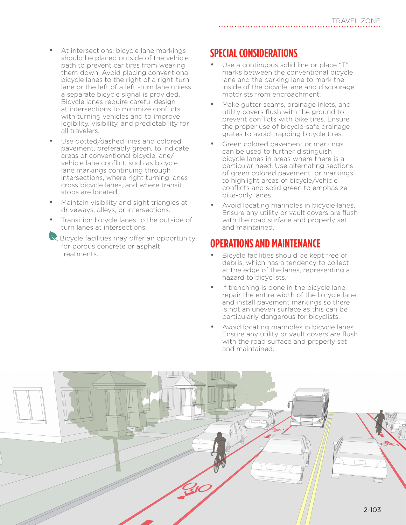- At intersections, bicycle lane markings should be placed outside of the vehicle path to prevent car tires from wearing them down. Avoid placing conventional bicycle lanes to the right of a right-turn lane or the left of a left -turn lane unless a separate bicycle signal is provided. Bicycle lanes require careful design at intersections to minimize conflicts with turning vehicles and to improve legibility, visibility, and predictability for all travelers.
- Use dotted/dashed lines and colored pavement, preferably green, to indicate areas of conventional bicycle lane/ vehicle lane conflict, such as bicycle lane markings continuing through intersections, where right turning lanes cross bicycle lanes, and where transit stops are located
- Maintain visibility and sight triangles at driveways, alleys, or intersections.
- Transition bicycle lanes to the outside of turn lanes at intersections.
- R Bicycle facilities may offer an opportunity for porous concrete or asphalt treatments.

# **SPECIAL CONSIDERATIONS**

- Use a continuous solid line or place "T" marks between the conventional bicycle lane and the parking lane to mark the inside of the bicycle lane and discourage motorists from encroachment.
- Make gutter seams, drainage inlets, and utility covers flush with the ground to prevent conflicts with bike tires. Ensure the proper use of bicycle-safe drainage grates to avoid trapping bicycle tires.
- Green colored pavement or markings can be used to further distinguish bicycle lanes in areas where there is a particular need. Use alternating sections of green colored pavement or markings to highlight areas of bicycle/vehicle conflicts and solid green to emphasize bike-only lanes.
- Avoid locating manholes in bicycle lanes. Ensure any utility or vault covers are flush with the road surface and properly set and maintained.

### **OPERATIONS AND MAINTENANCE**

- Bicycle facilities should be kept free of debris, which has a tendency to collect at the edge of the lanes, representing a hazard to bicyclists.
- If trenching is done in the bicycle lane, repair the entire width of the bicycle lane and install pavement markings so there is not an uneven surface as this can be particularly dangerous for bicyclists.
- Avoid locating manholes in bicycle lanes. Ensure any utility or vault covers are flush with the road surface and properly set and maintained.